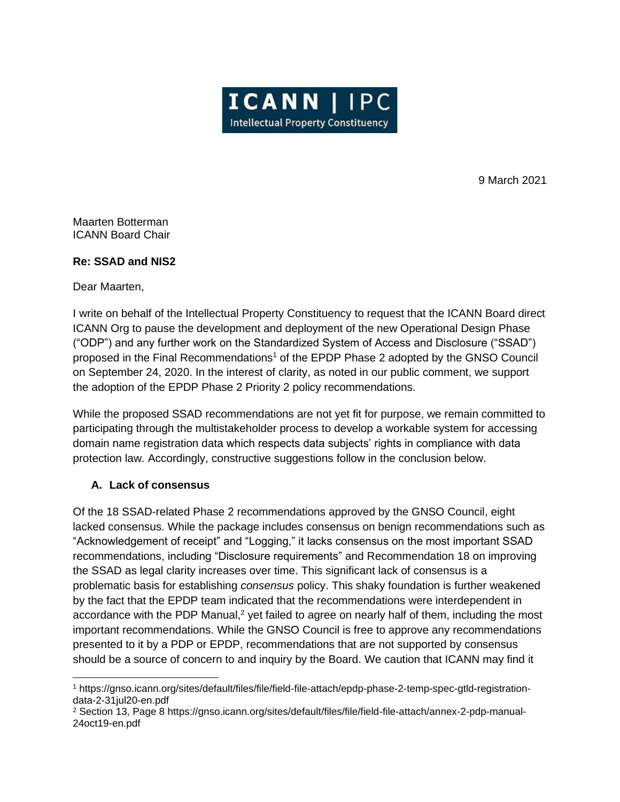

9 March 2021

Maarten Botterman ICANN Board Chair

# **Re: SSAD and NIS2**

Dear Maarten,

I write on behalf of the Intellectual Property Constituency to request that the ICANN Board direct ICANN Org to pause the development and deployment of the new Operational Design Phase ("ODP") and any further work on the Standardized System of Access and Disclosure ("SSAD") proposed in the Final Recommendations<sup>1</sup> of the EPDP Phase 2 adopted by the GNSO Council on September 24, 2020. In the interest of clarity, as noted in our public comment, we support the adoption of the EPDP Phase 2 Priority 2 policy recommendations.

While the proposed SSAD recommendations are not yet fit for purpose, we remain committed to participating through the multistakeholder process to develop a workable system for accessing domain name registration data which respects data subjects' rights in compliance with data protection law. Accordingly, constructive suggestions follow in the conclusion below.

# **A. Lack of consensus**

Of the 18 SSAD-related Phase 2 recommendations approved by the GNSO Council, eight lacked consensus. While the package includes consensus on benign recommendations such as "Acknowledgement of receipt" and "Logging," it lacks consensus on the most important SSAD recommendations, including "Disclosure requirements" and Recommendation 18 on improving the SSAD as legal clarity increases over time. This significant lack of consensus is a problematic basis for establishing *consensus* policy. This shaky foundation is further weakened by the fact that the EPDP team indicated that the recommendations were interdependent in accordance with the PDP Manual,<sup>2</sup> yet failed to agree on nearly half of them, including the most important recommendations. While the GNSO Council is free to approve any recommendations presented to it by a PDP or EPDP, recommendations that are not supported by consensus should be a source of concern to and inquiry by the Board. We caution that ICANN may find it

<sup>1</sup> https://gnso.icann.org/sites/default/files/file/field-file-attach/epdp-phase-2-temp-spec-gtld-registrationdata-2-31jul20-en.pdf

<sup>2</sup> Section 13, Page 8 https://gnso.icann.org/sites/default/files/file/field-file-attach/annex-2-pdp-manual-24oct19-en.pdf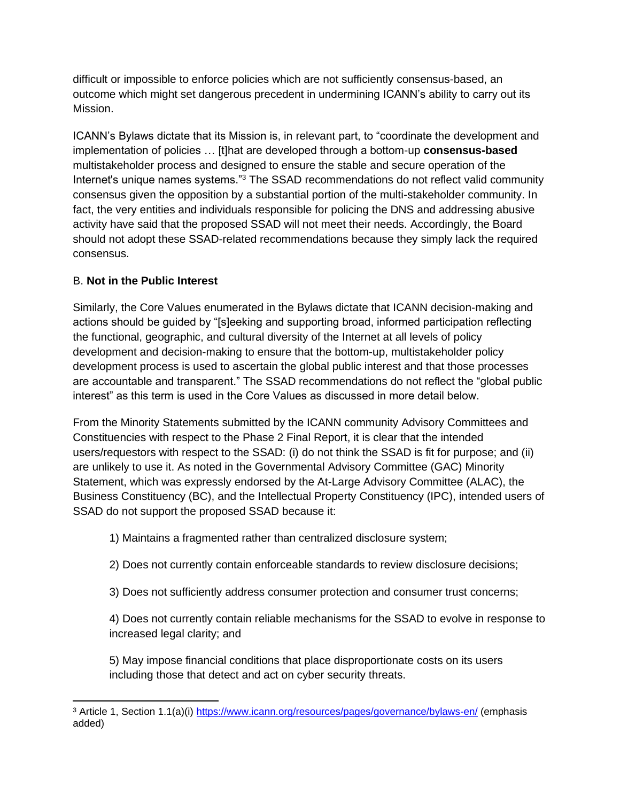difficult or impossible to enforce policies which are not sufficiently consensus-based, an outcome which might set dangerous precedent in undermining ICANN's ability to carry out its Mission.

ICANN's Bylaws dictate that its Mission is, in relevant part, to "coordinate the development and implementation of policies … [t]hat are developed through a bottom-up **consensus-based** multistakeholder process and designed to ensure the stable and secure operation of the Internet's unique names systems."<sup>3</sup> The SSAD recommendations do not reflect valid community consensus given the opposition by a substantial portion of the multi-stakeholder community. In fact, the very entities and individuals responsible for policing the DNS and addressing abusive activity have said that the proposed SSAD will not meet their needs. Accordingly, the Board should not adopt these SSAD-related recommendations because they simply lack the required consensus.

# B. **Not in the Public Interest**

Similarly, the Core Values enumerated in the Bylaws dictate that ICANN decision-making and actions should be guided by "[s]eeking and supporting broad, informed participation reflecting the functional, geographic, and cultural diversity of the Internet at all levels of policy development and decision-making to ensure that the bottom-up, multistakeholder policy development process is used to ascertain the global public interest and that those processes are accountable and transparent." The SSAD recommendations do not reflect the "global public interest" as this term is used in the Core Values as discussed in more detail below.

From the Minority Statements submitted by the ICANN community Advisory Committees and Constituencies with respect to the Phase 2 Final Report, it is clear that the intended users/requestors with respect to the SSAD: (i) do not think the SSAD is fit for purpose; and (ii) are unlikely to use it. As noted in the Governmental Advisory Committee (GAC) Minority Statement, which was expressly endorsed by the At-Large Advisory Committee (ALAC), the Business Constituency (BC), and the Intellectual Property Constituency (IPC), intended users of SSAD do not support the proposed SSAD because it:

1) Maintains a fragmented rather than centralized disclosure system;

- 2) Does not currently contain enforceable standards to review disclosure decisions;
- 3) Does not sufficiently address consumer protection and consumer trust concerns;

4) Does not currently contain reliable mechanisms for the SSAD to evolve in response to increased legal clarity; and

5) May impose financial conditions that place disproportionate costs on its users including those that detect and act on cyber security threats.

<sup>&</sup>lt;sup>3</sup> Article 1, Section 1.1(a)(i)<https://www.icann.org/resources/pages/governance/bylaws-en/> (emphasis added)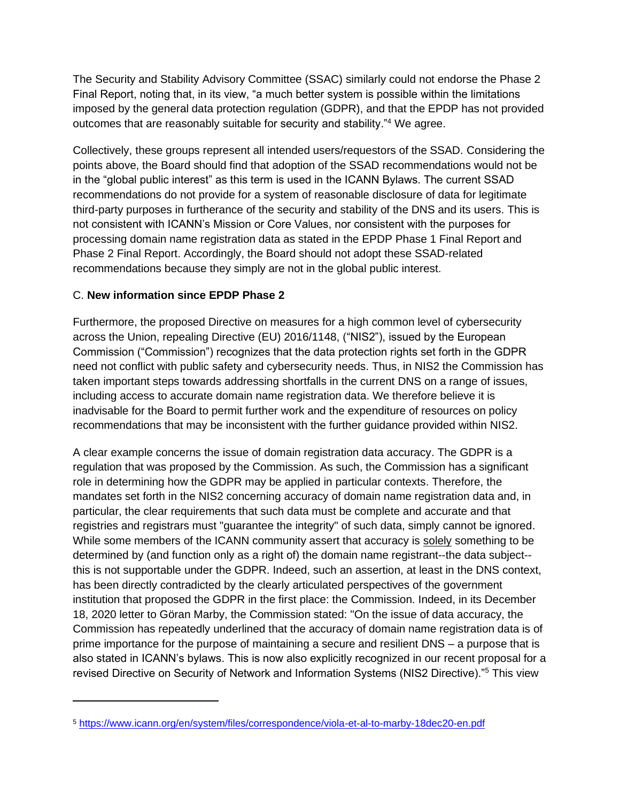The Security and Stability Advisory Committee (SSAC) similarly could not endorse the Phase 2 Final Report, noting that, in its view, "a much better system is possible within the limitations imposed by the general data protection regulation (GDPR), and that the EPDP has not provided outcomes that are reasonably suitable for security and stability."<sup>4</sup> We agree.

Collectively, these groups represent all intended users/requestors of the SSAD. Considering the points above, the Board should find that adoption of the SSAD recommendations would not be in the "global public interest" as this term is used in the ICANN Bylaws. The current SSAD recommendations do not provide for a system of reasonable disclosure of data for legitimate third-party purposes in furtherance of the security and stability of the DNS and its users. This is not consistent with ICANN's Mission or Core Values, nor consistent with the purposes for processing domain name registration data as stated in the EPDP Phase 1 Final Report and Phase 2 Final Report. Accordingly, the Board should not adopt these SSAD-related recommendations because they simply are not in the global public interest.

# C. **New information since EPDP Phase 2**

Furthermore, the proposed Directive on measures for a high common level of cybersecurity across the Union, repealing Directive (EU) 2016/1148, ("NIS2"), issued by the European Commission ("Commission") recognizes that the data protection rights set forth in the GDPR need not conflict with public safety and cybersecurity needs. Thus, in NIS2 the Commission has taken important steps towards addressing shortfalls in the current DNS on a range of issues, including access to accurate domain name registration data. We therefore believe it is inadvisable for the Board to permit further work and the expenditure of resources on policy recommendations that may be inconsistent with the further guidance provided within NIS2.

A clear example concerns the issue of domain registration data accuracy. The GDPR is a regulation that was proposed by the Commission. As such, the Commission has a significant role in determining how the GDPR may be applied in particular contexts. Therefore, the mandates set forth in the NIS2 concerning accuracy of domain name registration data and, in particular, the clear requirements that such data must be complete and accurate and that registries and registrars must "guarantee the integrity" of such data, simply cannot be ignored. While some members of the ICANN community assert that accuracy is solely something to be determined by (and function only as a right of) the domain name registrant--the data subject- this is not supportable under the GDPR. Indeed, such an assertion, at least in the DNS context, has been directly contradicted by the clearly articulated perspectives of the government institution that proposed the GDPR in the first place: the Commission. Indeed, in its December 18, 2020 letter to Göran Marby, the Commission stated: "On the issue of data accuracy, the Commission has repeatedly underlined that the accuracy of domain name registration data is of prime importance for the purpose of maintaining a secure and resilient DNS – a purpose that is also stated in ICANN's bylaws. This is now also explicitly recognized in our recent proposal for a revised Directive on Security of Network and Information Systems (NIS2 Directive)."<sup>5</sup> This view

<sup>5</sup> <https://www.icann.org/en/system/files/correspondence/viola-et-al-to-marby-18dec20-en.pdf>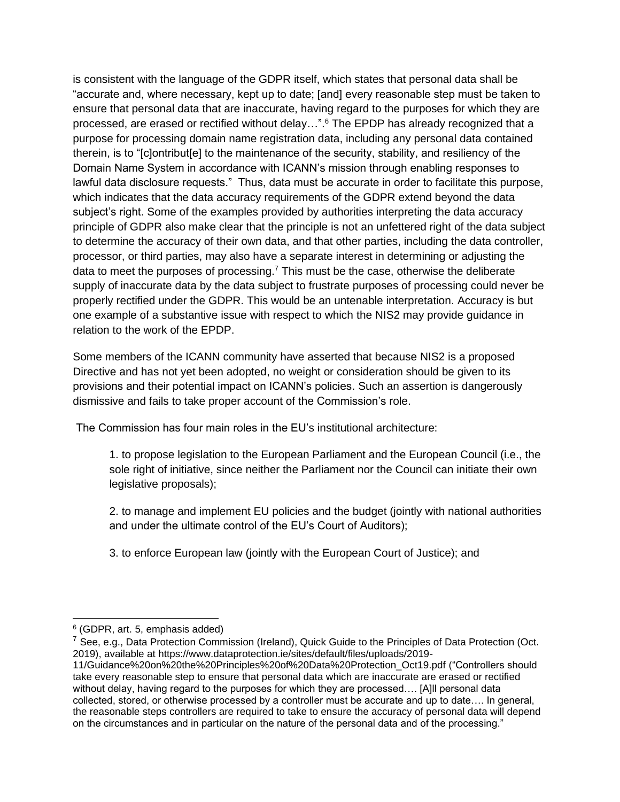is consistent with the language of the GDPR itself, which states that personal data shall be "accurate and, where necessary, kept up to date; [and] every reasonable step must be taken to ensure that personal data that are inaccurate, having regard to the purposes for which they are processed, are erased or rectified without delay…". <sup>6</sup> The EPDP has already recognized that a purpose for processing domain name registration data, including any personal data contained therein, is to "[c]ontribut[e] to the maintenance of the security, stability, and resiliency of the Domain Name System in accordance with ICANN's mission through enabling responses to lawful data disclosure requests." Thus, data must be accurate in order to facilitate this purpose, which indicates that the data accuracy requirements of the GDPR extend beyond the data subject's right. Some of the examples provided by authorities interpreting the data accuracy principle of GDPR also make clear that the principle is not an unfettered right of the data subject to determine the accuracy of their own data, and that other parties, including the data controller, processor, or third parties, may also have a separate interest in determining or adjusting the data to meet the purposes of processing.<sup>7</sup> This must be the case, otherwise the deliberate supply of inaccurate data by the data subject to frustrate purposes of processing could never be properly rectified under the GDPR. This would be an untenable interpretation. Accuracy is but one example of a substantive issue with respect to which the NIS2 may provide guidance in relation to the work of the EPDP.

Some members of the ICANN community have asserted that because NIS2 is a proposed Directive and has not yet been adopted, no weight or consideration should be given to its provisions and their potential impact on ICANN's policies. Such an assertion is dangerously dismissive and fails to take proper account of the Commission's role.

The Commission has four main roles in the EU's institutional architecture:

1. to propose legislation to the European Parliament and the European Council (i.e., the sole right of initiative, since neither the Parliament nor the Council can initiate their own legislative proposals);

2. to manage and implement EU policies and the budget (jointly with national authorities and under the ultimate control of the EU's Court of Auditors);

3. to enforce European law (jointly with the European Court of Justice); and

<sup>6</sup> (GDPR, art. 5, emphasis added)

<sup>&</sup>lt;sup>7</sup> See, e.g., Data Protection Commission (Ireland), Quick Guide to the Principles of Data Protection (Oct. 2019), available at [https://www.dataprotection.ie/sites/default/files/uploads/2019-](https://www.dataprotection.ie/sites/default/files/uploads/2019-11/Guidance%20on%20the%20Principles%20of%20Data%20Protection_Oct19.pdf)

[<sup>11/</sup>Guidance%20on%20the%20Principles%20of%20Data%20Protection\\_Oct19.pdf](https://www.dataprotection.ie/sites/default/files/uploads/2019-11/Guidance%20on%20the%20Principles%20of%20Data%20Protection_Oct19.pdf) ("Controllers should take every reasonable step to ensure that personal data which are inaccurate are erased or rectified without delay, having regard to the purposes for which they are processed…. [A]ll personal data collected, stored, or otherwise processed by a controller must be accurate and up to date…. In general, the reasonable steps controllers are required to take to ensure the accuracy of personal data will depend on the circumstances and in particular on the nature of the personal data and of the processing."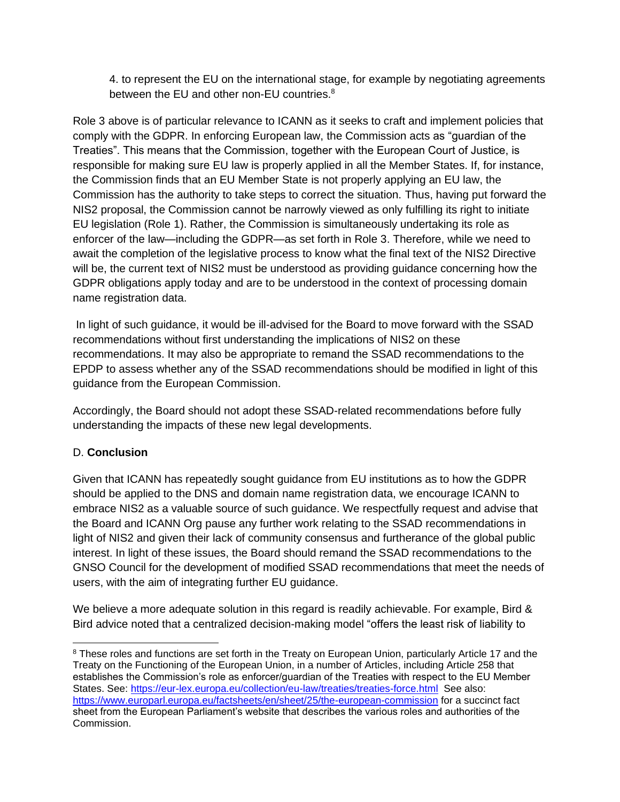4. to represent the EU on the international stage, for example by negotiating agreements between the EU and other non-EU countries.<sup>8</sup>

Role 3 above is of particular relevance to ICANN as it seeks to craft and implement policies that comply with the GDPR. In enforcing European law, the Commission acts as "guardian of the Treaties". This means that the Commission, together with the European Court of Justice, is responsible for making sure EU law is properly applied in all the Member States. If, for instance, the Commission finds that an EU Member State is not properly applying an EU law, the Commission has the authority to take steps to correct the situation. Thus, having put forward the NIS2 proposal, the Commission cannot be narrowly viewed as only fulfilling its right to initiate EU legislation (Role 1). Rather, the Commission is simultaneously undertaking its role as enforcer of the law—including the GDPR—as set forth in Role 3. Therefore, while we need to await the completion of the legislative process to know what the final text of the NIS2 Directive will be, the current text of NIS2 must be understood as providing guidance concerning how the GDPR obligations apply today and are to be understood in the context of processing domain name registration data.

In light of such guidance, it would be ill-advised for the Board to move forward with the SSAD recommendations without first understanding the implications of NIS2 on these recommendations. It may also be appropriate to remand the SSAD recommendations to the EPDP to assess whether any of the SSAD recommendations should be modified in light of this guidance from the European Commission.

Accordingly, the Board should not adopt these SSAD-related recommendations before fully understanding the impacts of these new legal developments.

# D. **Conclusion**

Given that ICANN has repeatedly sought guidance from EU institutions as to how the GDPR should be applied to the DNS and domain name registration data, we encourage ICANN to embrace NIS2 as a valuable source of such guidance. We respectfully request and advise that the Board and ICANN Org pause any further work relating to the SSAD recommendations in light of NIS2 and given their lack of community consensus and furtherance of the global public interest. In light of these issues, the Board should remand the SSAD recommendations to the GNSO Council for the development of modified SSAD recommendations that meet the needs of users, with the aim of integrating further EU guidance.

We believe a more adequate solution in this regard is readily achievable. For example, Bird & Bird advice noted that a centralized decision-making model "offers the least risk of liability to

<sup>&</sup>lt;sup>8</sup> These roles and functions are set forth in the Treaty on European Union, particularly Article 17 and the Treaty on the Functioning of the European Union, in a number of Articles, including Article 258 that establishes the Commission's role as enforcer/guardian of the Treaties with respect to the EU Member States. See:<https://eur-lex.europa.eu/collection/eu-law/treaties/treaties-force.html>See also: <https://www.europarl.europa.eu/factsheets/en/sheet/25/the-european-commission> for a succinct fact sheet from the European Parliament's website that describes the various roles and authorities of the Commission.